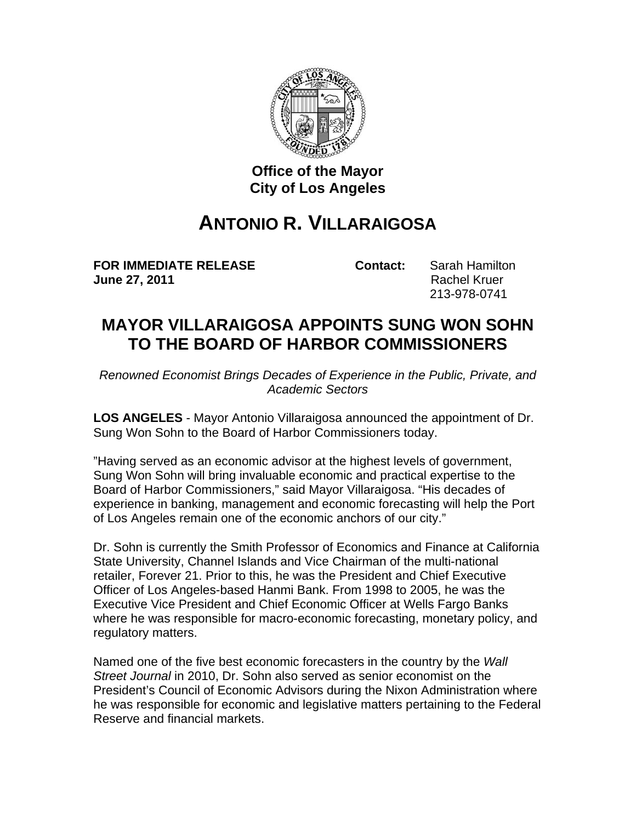

## **Office of the Mayor City of Los Angeles**

## **ANTONIO R. VILLARAIGOSA**

**FOR IMMEDIATE RELEASE Contact:** Sarah Hamilton **June 27, 2011 Rachel Kruer Rachel Kruer** 

213-978-0741

## **MAYOR VILLARAIGOSA APPOINTS SUNG WON SOHN TO THE BOARD OF HARBOR COMMISSIONERS**

*Renowned Economist Brings Decades of Experience in the Public, Private, and Academic Sectors*

**LOS ANGELES** - Mayor Antonio Villaraigosa announced the appointment of Dr. Sung Won Sohn to the Board of Harbor Commissioners today.

"Having served as an economic advisor at the highest levels of government, Sung Won Sohn will bring invaluable economic and practical expertise to the Board of Harbor Commissioners," said Mayor Villaraigosa. "His decades of experience in banking, management and economic forecasting will help the Port of Los Angeles remain one of the economic anchors of our city."

Dr. Sohn is currently the Smith Professor of Economics and Finance at California State University, Channel Islands and Vice Chairman of the multi-national retailer, Forever 21. Prior to this, he was the President and Chief Executive Officer of Los Angeles-based Hanmi Bank. From 1998 to 2005, he was the Executive Vice President and Chief Economic Officer at Wells Fargo Banks where he was responsible for macro-economic forecasting, monetary policy, and regulatory matters.

Named one of the five best economic forecasters in the country by the *Wall Street Journal* in 2010, Dr. Sohn also served as senior economist on the President's Council of Economic Advisors during the Nixon Administration where he was responsible for economic and legislative matters pertaining to the Federal Reserve and financial markets.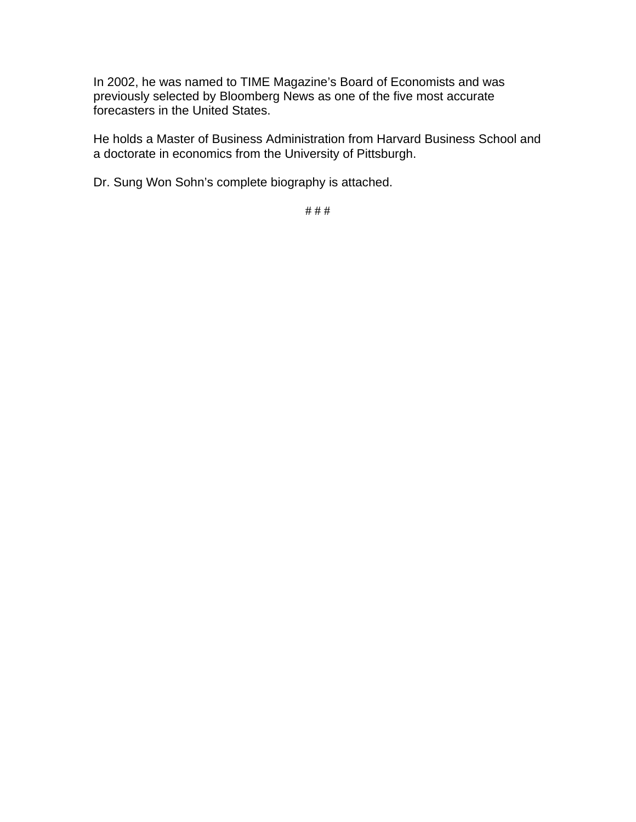In 2002, he was named to TIME Magazine's Board of Economists and was previously selected by Bloomberg News as one of the five most accurate forecasters in the United States.

He holds a Master of Business Administration from Harvard Business School and a doctorate in economics from the University of Pittsburgh.

Dr. Sung Won Sohn's complete biography is attached.

# # #